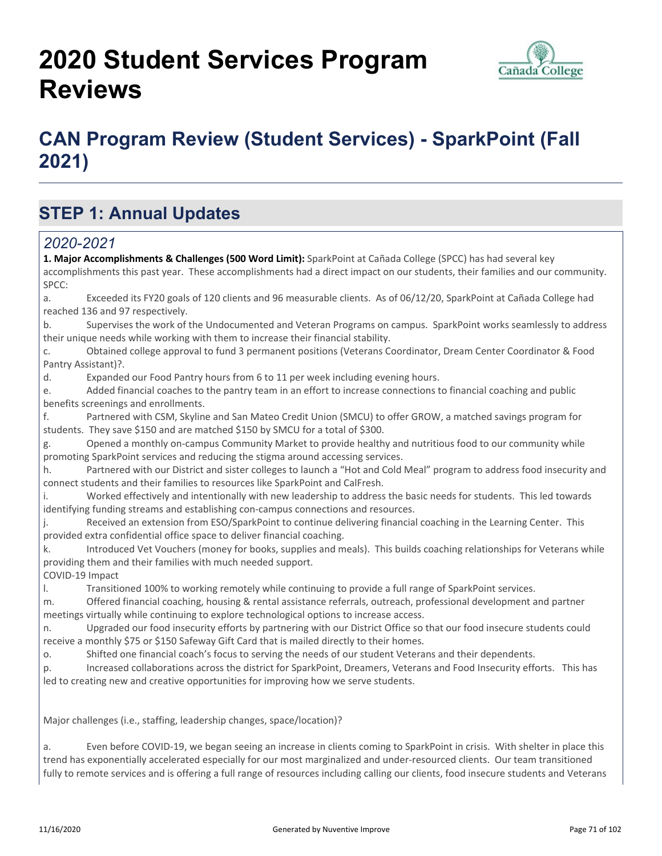# **2020 Student Services Program Reviews**



## **CAN Program Review (Student Services) - SparkPoint (Fall 2021)**

## **STEP 1: Annual Updates**

#### *2020-2021*

**1. Major Accomplishments & Challenges (500 Word Limit):** SparkPoint at Cañada College (SPCC) has had several key accomplishments this past year. These accomplishments had a direct impact on our students, their families and our community. SPCC: a. Exceeded its FY20 goals of 120 clients and 96 measurable clients. As of 06/12/20, SparkPoint at Cañada College had reached 136 and 97 respectively. b. Supervises the work of the Undocumented and Veteran Programs on campus. SparkPoint works seamlessly to address their unique needs while working with them to increase their financial stability. c. Obtained college approval to fund 3 permanent positions (Veterans Coordinator, Dream Center Coordinator & Food Pantry Assistant)?. d. Expanded our Food Pantry hours from 6 to 11 per week including evening hours. e. Added financial coaches to the pantry team in an effort to increase connections to financial coaching and public benefits screenings and enrollments. f. Partnered with CSM, Skyline and San Mateo Credit Union (SMCU) to offer GROW, a matched savings program for students. They save \$150 and are matched \$150 by SMCU for a total of \$300. g. Opened a monthly on-campus Community Market to provide healthy and nutritious food to our community while promoting SparkPoint services and reducing the stigma around accessing services. h. Partnered with our District and sister colleges to launch a "Hot and Cold Meal" program to address food insecurity and connect students and their families to resources like SparkPoint and CalFresh. i. Worked effectively and intentionally with new leadership to address the basic needs for students. This led towards identifying funding streams and establishing con-campus connections and resources. j. Received an extension from ESO/SparkPoint to continue delivering financial coaching in the Learning Center. This provided extra confidential office space to deliver financial coaching. k. Introduced Vet Vouchers (money for books, supplies and meals). This builds coaching relationships for Veterans while providing them and their families with much needed support. COVID-19 Impact l. Transitioned 100% to working remotely while continuing to provide a full range of SparkPoint services. m. Offered financial coaching, housing & rental assistance referrals, outreach, professional development and partner meetings virtually while continuing to explore technological options to increase access. n. Upgraded our food insecurity efforts by partnering with our District Office so that our food insecure students could receive a monthly \$75 or \$150 Safeway Gift Card that is mailed directly to their homes. o. Shifted one financial coach's focus to serving the needs of our student Veterans and their dependents. p. Increased collaborations across the district for SparkPoint, Dreamers, Veterans and Food Insecurity efforts. This has led to creating new and creative opportunities for improving how we serve students. Major challenges (i.e., staffing, leadership changes, space/location)? a. Even before COVID-19, we began seeing an increase in clients coming to SparkPoint in crisis. With shelter in place this trend has exponentially accelerated especially for our most marginalized and under-resourced clients. Our team transitioned fully to remote services and is offering a full range of resources including calling our clients, food insecure students and Veterans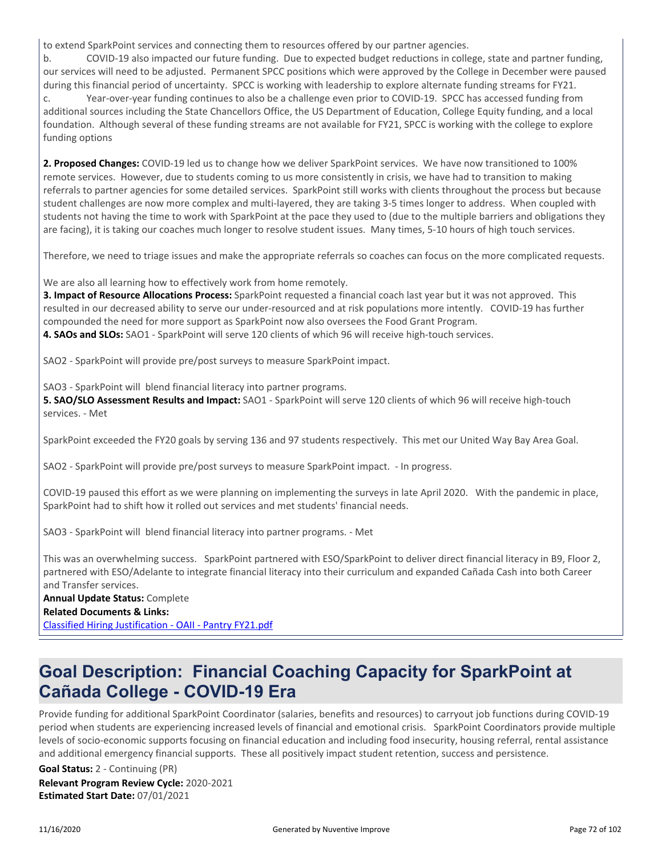to extend SparkPoint services and connecting them to resources offered by our partner agencies.

b. COVID-19 also impacted our future funding. Due to expected budget reductions in college, state and partner funding, our services will need to be adjusted. Permanent SPCC positions which were approved by the College in December were paused during this financial period of uncertainty. SPCC is working with leadership to explore alternate funding streams for FY21. c. Year-over-year funding continues to also be a challenge even prior to COVID-19. SPCC has accessed funding from additional sources including the State Chancellors Office, the US Department of Education, College Equity funding, and a local foundation. Although several of these funding streams are not available for FY21, SPCC is working with the college to explore funding options

**2. Proposed Changes:** COVID-19 led us to change how we deliver SparkPoint services. We have now transitioned to 100% remote services. However, due to students coming to us more consistently in crisis, we have had to transition to making referrals to partner agencies for some detailed services. SparkPoint still works with clients throughout the process but because student challenges are now more complex and multi-layered, they are taking 3-5 times longer to address. When coupled with students not having the time to work with SparkPoint at the pace they used to (due to the multiple barriers and obligations they are facing), it is taking our coaches much longer to resolve student issues. Many times, 5-10 hours of high touch services.

Therefore, we need to triage issues and make the appropriate referrals so coaches can focus on the more complicated requests.

We are also all learning how to effectively work from home remotely.

**3. Impact of Resource Allocations Process:** SparkPoint requested a financial coach last year but it was not approved. This resulted in our decreased ability to serve our under-resourced and at risk populations more intently. COVID-19 has further compounded the need for more support as SparkPoint now also oversees the Food Grant Program. **4. SAOs and SLOs:** SAO1 - SparkPoint will serve 120 clients of which 96 will receive high-touch services.

SAO2 - SparkPoint will provide pre/post surveys to measure SparkPoint impact.

SAO3 - SparkPoint will blend financial literacy into partner programs.

**5. SAO/SLO Assessment Results and Impact:** SAO1 - SparkPoint will serve 120 clients of which 96 will receive high-touch services. - Met

SparkPoint exceeded the FY20 goals by serving 136 and 97 students respectively. This met our United Way Bay Area Goal.

SAO2 - SparkPoint will provide pre/post surveys to measure SparkPoint impact. - In progress.

COVID-19 paused this effort as we were planning on implementing the surveys in late April 2020. With the pandemic in place, SparkPoint had to shift how it rolled out services and met students' financial needs.

SAO3 - SparkPoint will blend financial literacy into partner programs. - Met

This was an overwhelming success. SparkPoint partnered with ESO/SparkPoint to deliver direct financial literacy in B9, Floor 2, partnered with ESO/Adelante to integrate financial literacy into their curriculum and expanded Cañada Cash into both Career and Transfer services. **Annual Update Status:** Complete

#### **Related Documents & Links:**

[Classified Hiring Justification - OAII - Pantry FY21.pdf](https://sanmateo.improve.nuventive.com:443/tracdat/viewDocument?y=snyAlSwkl2S2)

### **Goal Description: Financial Coaching Capacity for SparkPoint at Cañada College - COVID-19 Era**

Provide funding for additional SparkPoint Coordinator (salaries, benefits and resources) to carryout job functions during COVID-19 period when students are experiencing increased levels of financial and emotional crisis. SparkPoint Coordinators provide multiple levels of socio-economic supports focusing on financial education and including food insecurity, housing referral, rental assistance and additional emergency financial supports. These all positively impact student retention, success and persistence.

**Relevant Program Review Cycle:** 2020-2021 **Estimated Start Date:** 07/01/2021 **Goal Status:** 2 - Continuing (PR)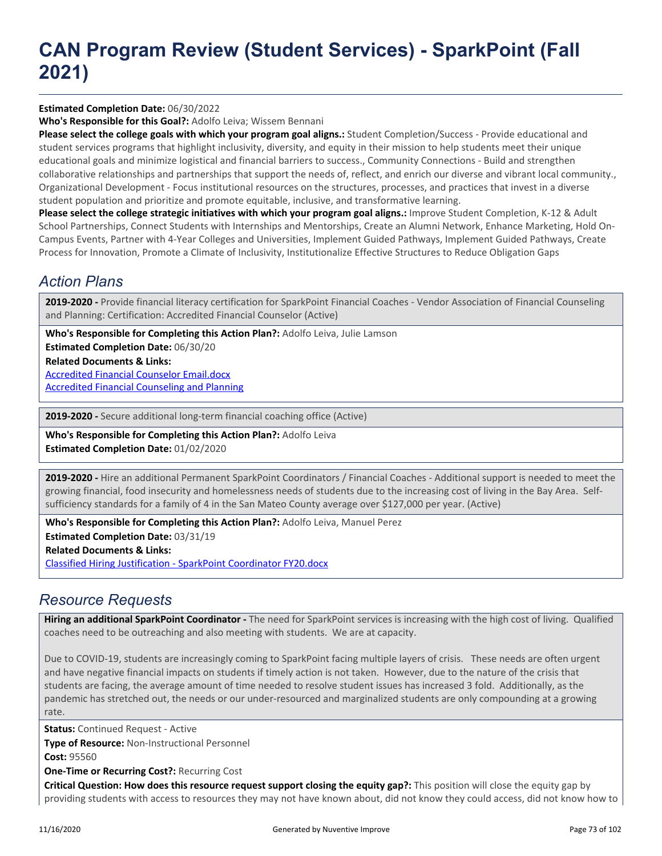#### **Estimated Completion Date:** 06/30/2022

**Who's Responsible for this Goal?:** Adolfo Leiva; Wissem Bennani

**Please select the college goals with which your program goal aligns.:** Student Completion/Success - Provide educational and student services programs that highlight inclusivity, diversity, and equity in their mission to help students meet their unique educational goals and minimize logistical and financial barriers to success., Community Connections - Build and strengthen collaborative relationships and partnerships that support the needs of, reflect, and enrich our diverse and vibrant local community., Organizational Development - Focus institutional resources on the structures, processes, and practices that invest in a diverse student population and prioritize and promote equitable, inclusive, and transformative learning.

**Please select the college strategic initiatives with which your program goal aligns.:** Improve Student Completion, K-12 & Adult School Partnerships, Connect Students with Internships and Mentorships, Create an Alumni Network, Enhance Marketing, Hold On-Campus Events, Partner with 4-Year Colleges and Universities, Implement Guided Pathways, Implement Guided Pathways, Create Process for Innovation, Promote a Climate of Inclusivity, Institutionalize Effective Structures to Reduce Obligation Gaps

#### *Action Plans*

**2019-2020 -** Provide financial literacy certification for SparkPoint Financial Coaches - Vendor Association of Financial Counseling and Planning: Certification: Accredited Financial Counselor (Active)

**Who's Responsible for Completing this Action Plan?:** Adolfo Leiva, Julie Lamson

**Estimated Completion Date:** 06/30/20

**Related Documents & Links:**

[Accredited Financial Counselor Email.docx](https://sanmateo.improve.nuventive.com:443/tracdat/viewDocument?y=eOJadZbTJS9w) [Accredited Financial Counseling and Planning](https://sanmateo.improve.nuventive.com:443/tracdat/viewDocument?y=YlRawhiZYdas)

**2019-2020 -** Secure additional long-term financial coaching office (Active)

**Who's Responsible for Completing this Action Plan?:** Adolfo Leiva **Estimated Completion Date:** 01/02/2020

**2019-2020 -** Hire an additional Permanent SparkPoint Coordinators / Financial Coaches - Additional support is needed to meet the growing financial, food insecurity and homelessness needs of students due to the increasing cost of living in the Bay Area. Selfsufficiency standards for a family of 4 in the San Mateo County average over \$127,000 per year. (Active)

**Related Documents & Links:** [Classified Hiring Justification - SparkPoint Coordinator FY20.docx](https://sanmateo.improve.nuventive.com:443/tracdat/viewDocument?y=l1gsY77vl2Tz) **Who's Responsible for Completing this Action Plan?:** Adolfo Leiva, Manuel Perez **Estimated Completion Date:** 03/31/19

#### *Resource Requests*

**Hiring an additional SparkPoint Coordinator -** The need for SparkPoint services is increasing with the high cost of living. Qualified coaches need to be outreaching and also meeting with students. We are at capacity.

Due to COVID-19, students are increasingly coming to SparkPoint facing multiple layers of crisis. These needs are often urgent and have negative financial impacts on students if timely action is not taken. However, due to the nature of the crisis that students are facing, the average amount of time needed to resolve student issues has increased 3 fold. Additionally, as the pandemic has stretched out, the needs or our under-resourced and marginalized students are only compounding at a growing rate.

**Status:** Continued Request - Active **Type of Resource:** Non-Instructional Personnel

**Cost:** 95560

**One-Time or Recurring Cost?:** Recurring Cost

**Critical Question: How does this resource request support closing the equity gap?:** This position will close the equity gap by providing students with access to resources they may not have known about, did not know they could access, did not know how to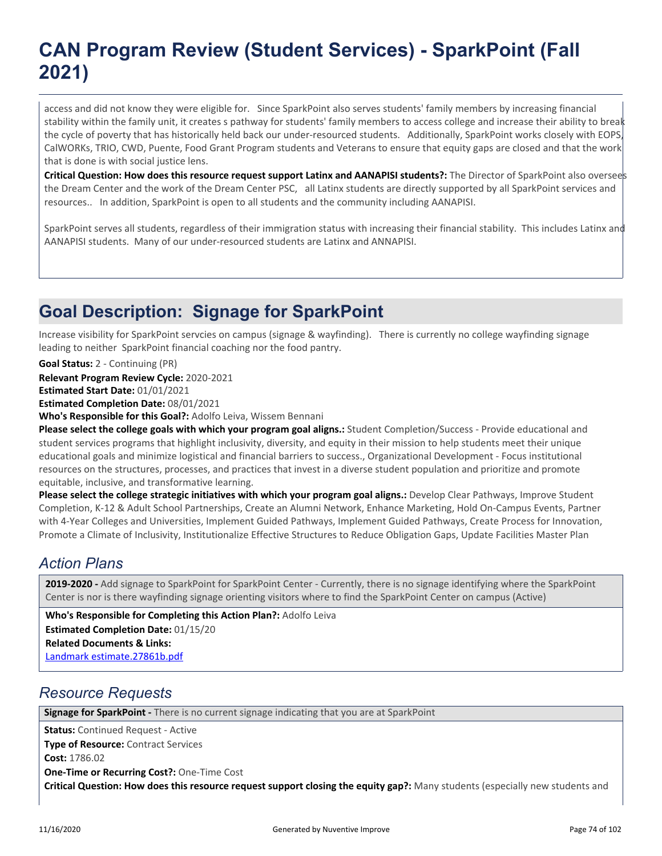access and did not know they were eligible for. Since SparkPoint also serves students' family members by increasing financial stability within the family unit, it creates s pathway for students' family members to access college and increase their ability to break the cycle of poverty that has historically held back our under-resourced students. Additionally, SparkPoint works closely with EOPS, CalWORKs, TRIO, CWD, Puente, Food Grant Program students and Veterans to ensure that equity gaps are closed and that the work that is done is with social justice lens.

**Critical Question: How does this resource request support Latinx and AANAPISI students?:** The Director of SparkPoint also oversees the Dream Center and the work of the Dream Center PSC, all Latinx students are directly supported by all SparkPoint services and resources.. In addition, SparkPoint is open to all students and the community including AANAPISI.

SparkPoint serves all students, regardless of their immigration status with increasing their financial stability. This includes Latinx and AANAPISI students. Many of our under-resourced students are Latinx and ANNAPISI.

### **Goal Description: Signage for SparkPoint**

Increase visibility for SparkPoint servcies on campus (signage & wayfinding). There is currently no college wayfinding signage leading to neither SparkPoint financial coaching nor the food pantry.

**Goal Status:** 2 - Continuing (PR)

**Relevant Program Review Cycle:** 2020-2021

**Estimated Start Date:** 01/01/2021

**Estimated Completion Date:** 08/01/2021

**Who's Responsible for this Goal?:** Adolfo Leiva, Wissem Bennani

**Please select the college goals with which your program goal aligns.:** Student Completion/Success - Provide educational and student services programs that highlight inclusivity, diversity, and equity in their mission to help students meet their unique educational goals and minimize logistical and financial barriers to success., Organizational Development - Focus institutional resources on the structures, processes, and practices that invest in a diverse student population and prioritize and promote equitable, inclusive, and transformative learning.

**Please select the college strategic initiatives with which your program goal aligns.:** Develop Clear Pathways, Improve Student Completion, K-12 & Adult School Partnerships, Create an Alumni Network, Enhance Marketing, Hold On-Campus Events, Partner with 4-Year Colleges and Universities, Implement Guided Pathways, Implement Guided Pathways, Create Process for Innovation, Promote a Climate of Inclusivity, Institutionalize Effective Structures to Reduce Obligation Gaps, Update Facilities Master Plan

#### *Action Plans*

**2019-2020 -** Add signage to SparkPoint for SparkPoint Center - Currently, there is no signage identifying where the SparkPoint Center is nor is there wayfinding signage orienting visitors where to find the SparkPoint Center on campus (Active)

**Related Documents & Links:** [Landmark estimate.27861b.pdf](https://sanmateo.improve.nuventive.com:443/tracdat/viewDocument?y=UM5g4ygvFHcF) **Who's Responsible for Completing this Action Plan?:** Adolfo Leiva **Estimated Completion Date:** 01/15/20

#### *Resource Requests*

**Signage for SparkPoint -** There is no current signage indicating that you are at SparkPoint

**Status:** Continued Request - Active **Type of Resource:** Contract Services **Cost:** 1786.02 **One-Time or Recurring Cost?:** One-Time Cost **Critical Question: How does this resource request support closing the equity gap?:** Many students (especially new students and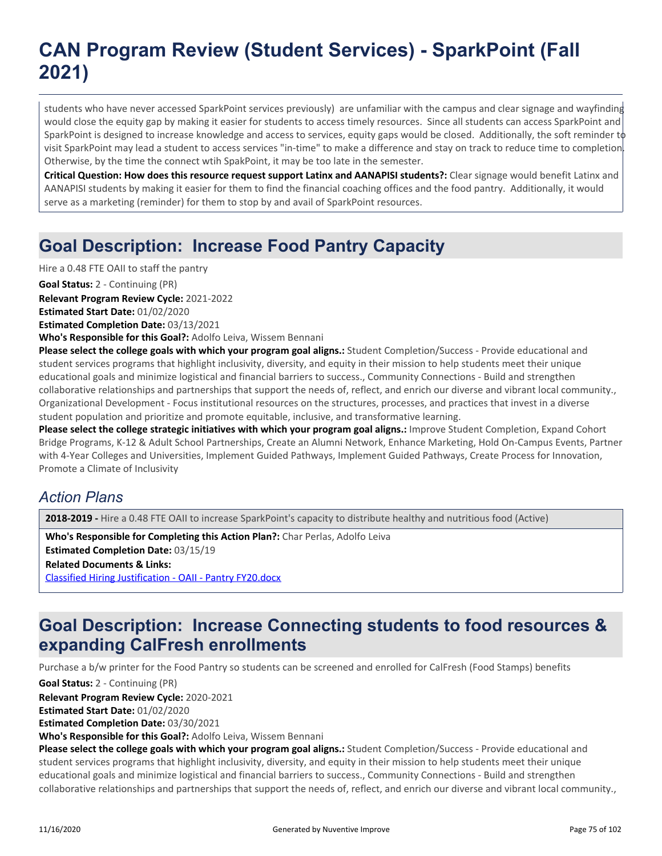students who have never accessed SparkPoint services previously) are unfamiliar with the campus and clear signage and wayfinding would close the equity gap by making it easier for students to access timely resources. Since all students can access SparkPoint and SparkPoint is designed to increase knowledge and access to services, equity gaps would be closed. Additionally, the soft reminder to visit SparkPoint may lead a student to access services "in-time" to make a difference and stay on track to reduce time to completion. Otherwise, by the time the connect wtih SpakPoint, it may be too late in the semester.

**Critical Question: How does this resource request support Latinx and AANAPISI students?:** Clear signage would benefit Latinx and AANAPISI students by making it easier for them to find the financial coaching offices and the food pantry. Additionally, it would serve as a marketing (reminder) for them to stop by and avail of SparkPoint resources.

### **Goal Description: Increase Food Pantry Capacity**

Hire a 0.48 FTE OAII to staff the pantry

**Goal Status:** 2 - Continuing (PR)

**Relevant Program Review Cycle:** 2021-2022

**Estimated Start Date:** 01/02/2020

**Estimated Completion Date:** 03/13/2021

**Who's Responsible for this Goal?:** Adolfo Leiva, Wissem Bennani

**Please select the college goals with which your program goal aligns.:** Student Completion/Success - Provide educational and student services programs that highlight inclusivity, diversity, and equity in their mission to help students meet their unique educational goals and minimize logistical and financial barriers to success., Community Connections - Build and strengthen collaborative relationships and partnerships that support the needs of, reflect, and enrich our diverse and vibrant local community., Organizational Development - Focus institutional resources on the structures, processes, and practices that invest in a diverse student population and prioritize and promote equitable, inclusive, and transformative learning.

Please select the college strategic initiatives with which your program goal aligns.: Improve Student Completion, Expand Cohort Bridge Programs, K-12 & Adult School Partnerships, Create an Alumni Network, Enhance Marketing, Hold On-Campus Events, Partner with 4-Year Colleges and Universities, Implement Guided Pathways, Implement Guided Pathways, Create Process for Innovation, Promote a Climate of Inclusivity

#### *Action Plans*

**2018-2019 -** Hire a 0.48 FTE OAII to increase SparkPoint's capacity to distribute healthy and nutritious food (Active)

**Related Documents & Links:** [Classified Hiring Justification - OAII - Pantry FY20.docx](https://sanmateo.improve.nuventive.com:443/tracdat/viewDocument?y=ElKAAxjisZOS) **Who's Responsible for Completing this Action Plan?:** Char Perlas, Adolfo Leiva **Estimated Completion Date:** 03/15/19

### **Goal Description: Increase Connecting students to food resources & expanding CalFresh enrollments**

Purchase a b/w printer for the Food Pantry so students can be screened and enrolled for CalFresh (Food Stamps) benefits

**Goal Status:** 2 - Continuing (PR)

**Relevant Program Review Cycle:** 2020-2021

**Estimated Start Date:** 01/02/2020

**Estimated Completion Date:** 03/30/2021

**Who's Responsible for this Goal?:** Adolfo Leiva, Wissem Bennani

**Please select the college goals with which your program goal aligns.:** Student Completion/Success - Provide educational and student services programs that highlight inclusivity, diversity, and equity in their mission to help students meet their unique educational goals and minimize logistical and financial barriers to success., Community Connections - Build and strengthen collaborative relationships and partnerships that support the needs of, reflect, and enrich our diverse and vibrant local community.,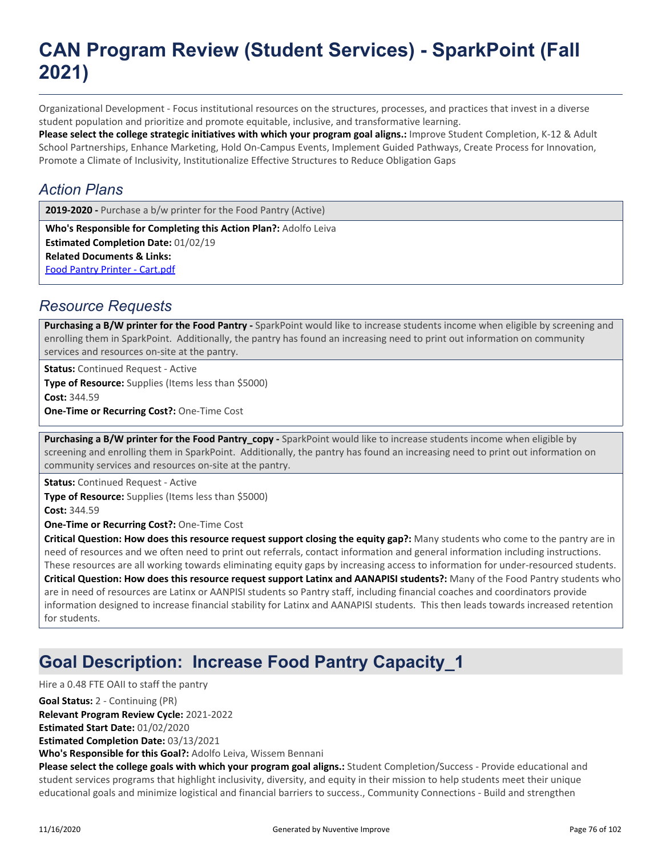Organizational Development - Focus institutional resources on the structures, processes, and practices that invest in a diverse student population and prioritize and promote equitable, inclusive, and transformative learning.

**Please select the college strategic initiatives with which your program goal aligns.:** Improve Student Completion, K-12 & Adult School Partnerships, Enhance Marketing, Hold On-Campus Events, Implement Guided Pathways, Create Process for Innovation, Promote a Climate of Inclusivity, Institutionalize Effective Structures to Reduce Obligation Gaps

#### *Action Plans*

2019-2020 - Purchase a b/w printer for the Food Pantry (Active)

**Related Documents & Links:** [Food Pantry Printer - Cart.pdf](https://sanmateo.improve.nuventive.com:443/tracdat/viewDocument?y=pLKR6o6lUA1b) **Who's Responsible for Completing this Action Plan?:** Adolfo Leiva **Estimated Completion Date:** 01/02/19

#### *Resource Requests*

Purchasing a B/W printer for the Food Pantry - SparkPoint would like to increase students income when eligible by screening and enrolling them in SparkPoint. Additionally, the pantry has found an increasing need to print out information on community services and resources on-site at the pantry.

**Status:** Continued Request - Active **Type of Resource:** Supplies (Items less than \$5000) **Cost:** 344.59 **One-Time or Recurring Cost?:** One-Time Cost

Purchasing a B/W printer for the Food Pantry\_copy - SparkPoint would like to increase students income when eligible by screening and enrolling them in SparkPoint. Additionally, the pantry has found an increasing need to print out information on community services and resources on-site at the pantry.

**Status:** Continued Request - Active **Type of Resource:** Supplies (Items less than \$5000) **Cost:** 344.59

**One-Time or Recurring Cost?:** One-Time Cost

**Critical Question: How does this resource request support closing the equity gap?:** Many students who come to the pantry are in need of resources and we often need to print out referrals, contact information and general information including instructions. These resources are all working towards eliminating equity gaps by increasing access to information for under-resourced students. **Critical Question: How does this resource request support Latinx and AANAPISI students?:** Many of the Food Pantry students who are in need of resources are Latinx or AANPISI students so Pantry staff, including financial coaches and coordinators provide information designed to increase financial stability for Latinx and AANAPISI students. This then leads towards increased retention for students.

### **Goal Description: Increase Food Pantry Capacity\_1**

Hire a 0.48 FTE OAII to staff the pantry

**Relevant Program Review Cycle:** 2021-2022 **Goal Status:** 2 - Continuing (PR)

**Estimated Start Date:** 01/02/2020

**Estimated Completion Date:** 03/13/2021

**Who's Responsible for this Goal?:** Adolfo Leiva, Wissem Bennani

**Please select the college goals with which your program goal aligns.:** Student Completion/Success - Provide educational and student services programs that highlight inclusivity, diversity, and equity in their mission to help students meet their unique educational goals and minimize logistical and financial barriers to success., Community Connections - Build and strengthen